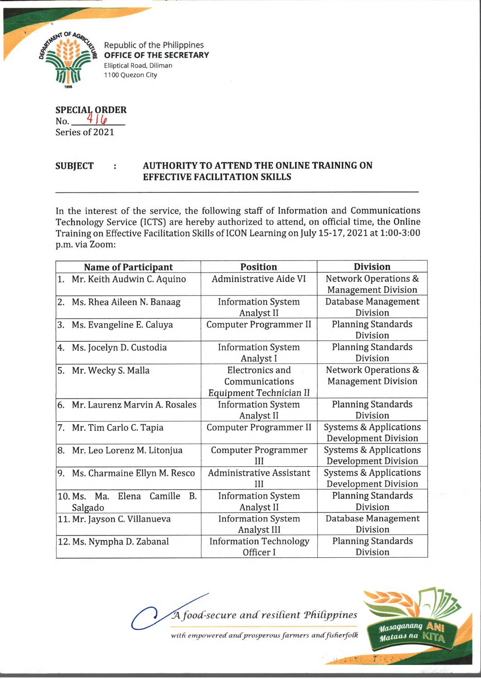

Republic of the Philippines **OFFICE OF THE SECRETARY** Elliptical Road, Diliman 1100 Quezon City

**SPECIAL ORDER**  $N_{0}$ ,  $416$ 

Series of 2021

## **SUBJECT AUTHORITY TO ATTEND THE ONLINE TRAINING ON EFFECTIVE FACILITATION SKILLS**

In the interest of the service, the following staff of Information and Communications Technology Service (ICTS) are hereby authorized to attend, on official time, the Online Training on Effective Facilitation Skills of ICON Learning on July 15-17, 2021 at 1:00-3:00 p.m. via Zoom:

|    | <b>Name of Participant</b>                              | <b>Position</b>                                                     | <b>Division</b>                                                  |  |
|----|---------------------------------------------------------|---------------------------------------------------------------------|------------------------------------------------------------------|--|
|    | 1. Mr. Keith Audwin C. Aquino                           | <b>Administrative Aide VI</b>                                       | <b>Network Operations &amp;</b><br><b>Management Division</b>    |  |
| 2. | Ms. Rhea Aileen N. Banaag                               | <b>Information System</b><br>Analyst II                             | Database Management<br>Division                                  |  |
| 3. | Ms. Evangeline E. Caluya                                | <b>Computer Programmer II</b>                                       | <b>Planning Standards</b><br>Division                            |  |
| 4. | Ms. Jocelyn D. Custodia                                 | <b>Information System</b><br>Analyst I                              | <b>Planning Standards</b><br>Division                            |  |
| 5. | Mr. Wecky S. Malla                                      | <b>Electronics and</b><br>Communications<br>Equipment Technician II | <b>Network Operations &amp;</b><br><b>Management Division</b>    |  |
| 6. | Mr. Laurenz Marvin A. Rosales                           | <b>Information System</b><br>Analyst II                             | <b>Planning Standards</b><br>Division                            |  |
|    | 7. Mr. Tim Carlo C. Tapia                               | <b>Computer Programmer II</b>                                       | <b>Systems &amp; Applications</b><br><b>Development Division</b> |  |
|    | 8. Mr. Leo Lorenz M. Litonjua                           | <b>Computer Programmer</b><br>Ħ                                     | <b>Systems &amp; Applications</b><br>Development Division        |  |
| 9. | Ms. Charmaine Ellyn M. Resco                            | <b>Administrative Assistant</b><br>Ш                                | <b>Systems &amp; Applications</b><br><b>Development Division</b> |  |
|    | Elena<br>Camille<br><b>B.</b><br>10. Ms. Ma.<br>Salgado | <b>Information System</b><br>Analyst II                             | <b>Planning Standards</b><br>Division                            |  |
|    | 11. Mr. Jayson C. Villanueva                            | <b>Information System</b><br>Analyst III                            | Database Management<br>Division                                  |  |
|    | 12. Ms. Nympha D. Zabanal                               | <b>Information Technology</b><br>Officer I                          | <b>Planning Standards</b><br>Division                            |  |

t/L *food-secure and'resident TfiiCippines*